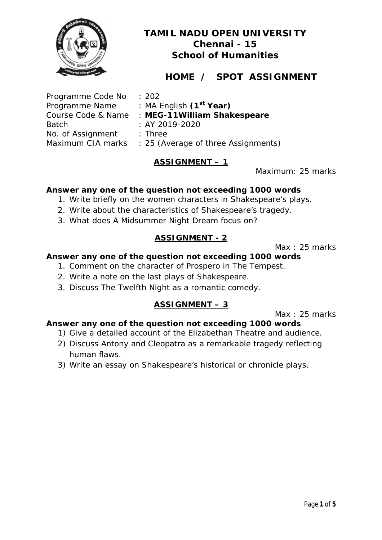

# **HOME / SPOT ASSIGNMENT**

| Programme Code No  | : $202$                             |
|--------------------|-------------------------------------|
| Programme Name     | : MA English $(1st Year)$           |
| Course Code & Name | : MEG-11William Shakespeare         |
| Batch              | : AY 2019-2020                      |
| No. of Assignment  | $:$ Three                           |
| Maximum CIA marks  | : 25 (Average of three Assignments) |
|                    |                                     |

#### **ASSIGNMENT – 1**

Maximum: 25 marks

#### **Answer any one of the question not exceeding 1000 words**

- 1. Write briefly on the women characters in Shakespeare's plays.
- 2. Write about the characteristics of Shakespeare's tragedy.
- 3. What does *A Midsummer Night Dream* focus on?

## **ASSIGNMENT - 2**

Max : 25 marks

# **Answer any one of the question not exceeding 1000 words**

- 1. Comment on the character of Prospero in *The Tempest*.
- 2. Write a note on the last plays of Shakespeare.
- 3. Discuss *The Twelfth Night* as a romantic comedy.

## **ASSIGNMENT – 3**

Max : 25 marks

- 1) Give a detailed account of the Elizabethan Theatre and audience.
- 2) Discuss *Antony and Cleopatra* as a remarkable tragedy reflecting human flaws.
- 3) Write an essay on Shakespeare's historical or chronicle plays.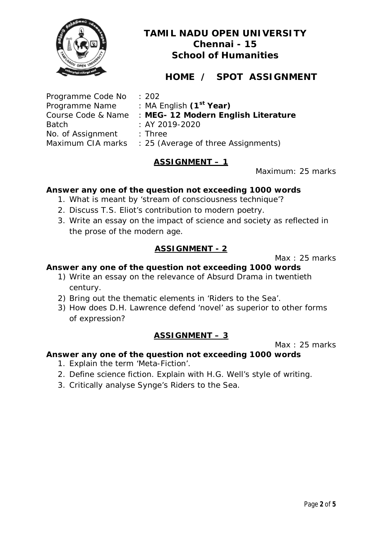

# **HOME / SPOT ASSIGNMENT**

| : 202                               |
|-------------------------------------|
| : MA English $(1st Year)$           |
| : MEG- 12 Modern English Literature |
| : AY 2019-2020                      |
| $:$ Three                           |
| : 25 (Average of three Assignments) |
|                                     |

## **ASSIGNMENT – 1**

Maximum: 25 marks

#### **Answer any one of the question not exceeding 1000 words**

- 1. What is meant by 'stream of consciousness technique'?
- 2. Discuss T.S. Eliot's contribution to modern poetry.
- 3. Write an essay on the impact of science and society as reflected in the prose of the modern age.

## **ASSIGNMENT - 2**

Max : 25 marks

#### **Answer any one of the question not exceeding 1000 words**

- 1) Write an essay on the relevance of Absurd Drama in twentieth century.
- 2) Bring out the thematic elements in 'Riders to the Sea'.
- 3) How does D.H. Lawrence defend 'novel' as superior to other forms of expression?

## **ASSIGNMENT – 3**

Max : 25 marks

- 1. Explain the term 'Meta-Fiction'.
- 2. Define science fiction. Explain with H.G. Well's style of writing.
- 3. Critically analyse Synge's Riders to the Sea.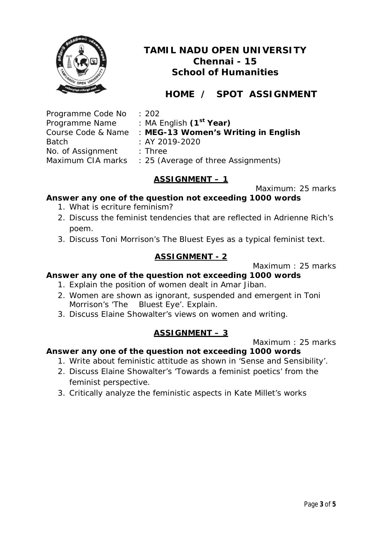

# **HOME / SPOT ASSIGNMENT**

| Programme Code No  | : 202                               |
|--------------------|-------------------------------------|
| Programme Name     | : MA English $(1st Year)$           |
| Course Code & Name | : MEG-13 Women's Writing in English |
| Batch              | : AY 2019-2020                      |
| No. of Assignment  | $:$ Three                           |
| Maximum CIA marks  | : 25 (Average of three Assignments) |

## **ASSIGNMENT – 1**

Maximum: 25 marks

#### **Answer any one of the question not exceeding 1000 words**

- 1. What is ecriture feminism?
- 2. Discuss the feminist tendencies that are reflected in Adrienne Rich's poem.
- 3. Discuss Toni Morrison's The Bluest Eyes as a typical feminist text.

## **ASSIGNMENT - 2**

Maximum : 25 marks

## **Answer any one of the question not exceeding 1000 words**

- 1. Explain the position of women dealt in Amar Jiban.
- 2. Women are shown as ignorant, suspended and emergent in Toni Morrison's 'The Bluest Eye'. Explain.
- 3. Discuss Elaine Showalter's views on women and writing.

## **ASSIGNMENT – 3**

Maximum : 25 marks

- 1. Write about feministic attitude as shown in 'Sense and Sensibility'.
- 2. Discuss Elaine Showalter's 'Towards a feminist poetics' from the feminist perspective.
- 3. Critically analyze the feministic aspects in Kate Millet's works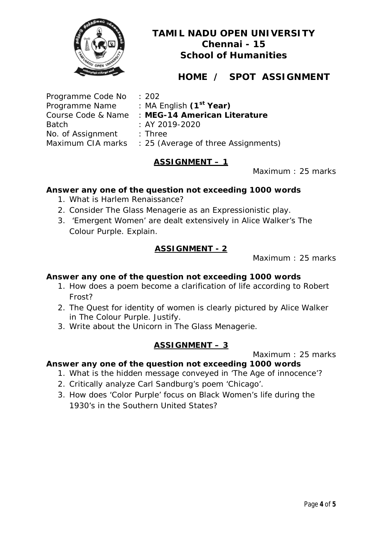

## **HOME / SPOT ASSIGNMENT**

| Programme Code No  | : 202    |
|--------------------|----------|
| Programme Name     | : MA     |
| Course Code & Name | : MEC    |
| <b>Batch</b>       | : AY 2   |
| No. of Assignment  | $:$ Thre |
| Maximum CIA marks  | : 25 (   |

MA English (1<sup>st</sup> Year) **MEG-14 American Literature** Batch : AY 2019-2020

Three

25 (Average of three Assignments)

## **ASSIGNMENT – 1**

Maximum : 25 marks

#### **Answer any one of the question not exceeding 1000 words**

- 1. What is Harlem Renaissance?
- 2. Consider *The Glass Menagerie* as an Expressionistic play.
- 3. 'Emergent Women' are dealt extensively in Alice Walker's *The Colour Purple*. Explain.

## **ASSIGNMENT - 2**

Maximum : 25 marks

#### **Answer any one of the question not exceeding 1000 words**

- 1. How does a poem become a clarification of life according to Robert Frost?
- 2. The Quest for identity of women is clearly pictured by Alice Walker in *The Colour Purpl*e. Justify.
- 3. Write about the Unicorn in *The Glass Menagerie*.

## **ASSIGNMENT – 3**

Maximum : 25 marks

- 1. What is the hidden message conveyed in 'The Age of innocence'?
- 2. Critically analyze Carl Sandburg's poem 'Chicago'.
- 3. How does 'Color Purple' focus on Black Women's life during the 1930's in the Southern United States?